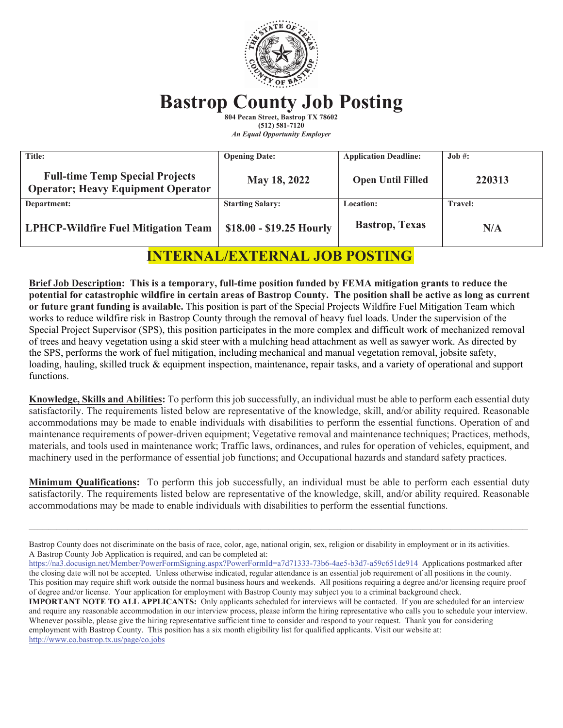

# **Bastrop County Job Posting**

**804 Pecan Street, Bastrop TX 78602 (512) 581-7120**  *An Equal Opportunity Employer* 

| Title:                                                                               | <b>Opening Date:</b>     | <b>Application Deadline:</b> | Job #:         |
|--------------------------------------------------------------------------------------|--------------------------|------------------------------|----------------|
| <b>Full-time Temp Special Projects</b><br><b>Operator</b> ; Heavy Equipment Operator | May 18, 2022             | <b>Open Until Filled</b>     | 220313         |
| Department:                                                                          | <b>Starting Salary:</b>  | Location:                    | <b>Travel:</b> |
| <b>LPHCP-Wildfire Fuel Mitigation Team</b>                                           | \$18.00 - \$19.25 Hourly | <b>Bastrop</b> , Texas       | N/A            |

# **INTERNAL/EXTERNAL JOB POSTING**

**Brief Job Description: This is a temporary, full-time position funded by FEMA mitigation grants to reduce the potential for catastrophic wildfire in certain areas of Bastrop County. The position shall be active as long as current or future grant funding is available.** This position is part of the Special Projects Wildfire Fuel Mitigation Team which works to reduce wildfire risk in Bastrop County through the removal of heavy fuel loads. Under the supervision of the Special Project Supervisor (SPS), this position participates in the more complex and difficult work of mechanized removal of trees and heavy vegetation using a skid steer with a mulching head attachment as well as sawyer work. As directed by the SPS, performs the work of fuel mitigation, including mechanical and manual vegetation removal, jobsite safety, loading, hauling, skilled truck & equipment inspection, maintenance, repair tasks, and a variety of operational and support functions.

**Knowledge, Skills and Abilities:** To perform this job successfully, an individual must be able to perform each essential duty satisfactorily. The requirements listed below are representative of the knowledge, skill, and/or ability required. Reasonable accommodations may be made to enable individuals with disabilities to perform the essential functions. Operation of and maintenance requirements of power-driven equipment; Vegetative removal and maintenance techniques; Practices, methods, materials, and tools used in maintenance work; Traffic laws, ordinances, and rules for operation of vehicles, equipment, and machinery used in the performance of essential job functions; and Occupational hazards and standard safety practices.

**Minimum Qualifications:** To perform this job successfully, an individual must be able to perform each essential duty satisfactorily. The requirements listed below are representative of the knowledge, skill, and/or ability required. Reasonable accommodations may be made to enable individuals with disabilities to perform the essential functions.

 $\mathcal{L}_\mathcal{L} = \mathcal{L}_\mathcal{L} = \mathcal{L}_\mathcal{L} = \mathcal{L}_\mathcal{L} = \mathcal{L}_\mathcal{L} = \mathcal{L}_\mathcal{L} = \mathcal{L}_\mathcal{L} = \mathcal{L}_\mathcal{L} = \mathcal{L}_\mathcal{L} = \mathcal{L}_\mathcal{L} = \mathcal{L}_\mathcal{L} = \mathcal{L}_\mathcal{L} = \mathcal{L}_\mathcal{L} = \mathcal{L}_\mathcal{L} = \mathcal{L}_\mathcal{L} = \mathcal{L}_\mathcal{L} = \mathcal{L}_\mathcal{L}$ 

Bastrop County does not discriminate on the basis of race, color, age, national origin, sex, religion or disability in employment or in its activities. A Bastrop County Job Application is required, and can be completed at:

https://na3.docusign.net/Member/PowerFormSigning.aspx?PowerFormId=a7d71333-73b6-4ae5-b3d7-a59c651de914 Applications postmarked after the closing date will not be accepted. Unless otherwise indicated, regular attendance is an essential job requirement of all positions in the county. This position may require shift work outside the normal business hours and weekends. All positions requiring a degree and/or licensing require proof of degree and/or license. Your application for employment with Bastrop County may subject you to a criminal background check.

**IMPORTANT NOTE TO ALL APPLICANTS:** Only applicants scheduled for interviews will be contacted. If you are scheduled for an interview and require any reasonable accommodation in our interview process, please inform the hiring representative who calls you to schedule your interview. Whenever possible, please give the hiring representative sufficient time to consider and respond to your request. Thank you for considering employment with Bastrop County. This position has a six month eligibility list for qualified applicants. Visit our website at: http://www.co.bastrop.tx.us/page/co.jobs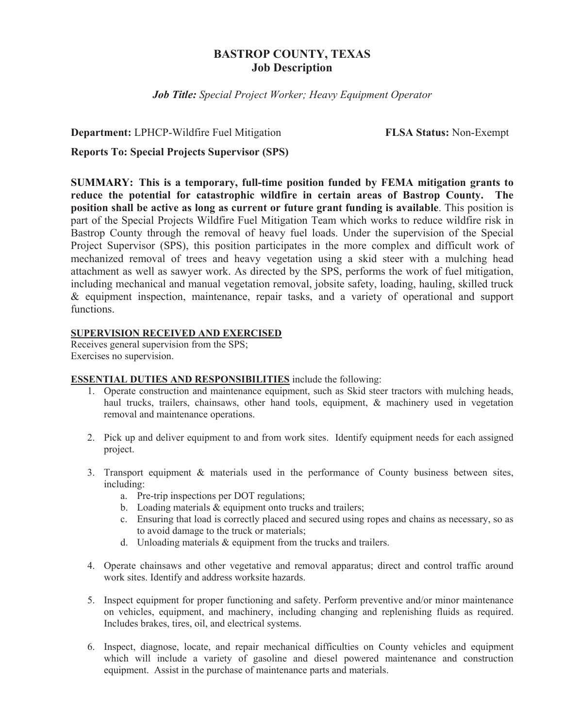# **BASTROP COUNTY, TEXAS Job Description**

*Job Title: Special Project Worker; Heavy Equipment Operator* 

**Department:** LPHCP-Wildfire Fuel Mitigation **FLSA Status:** Non-Exempt

# **Reports To: Special Projects Supervisor (SPS)**

**SUMMARY: This is a temporary, full-time position funded by FEMA mitigation grants to reduce the potential for catastrophic wildfire in certain areas of Bastrop County. The position shall be active as long as current or future grant funding is available**. This position is part of the Special Projects Wildfire Fuel Mitigation Team which works to reduce wildfire risk in Bastrop County through the removal of heavy fuel loads. Under the supervision of the Special Project Supervisor (SPS), this position participates in the more complex and difficult work of mechanized removal of trees and heavy vegetation using a skid steer with a mulching head attachment as well as sawyer work. As directed by the SPS, performs the work of fuel mitigation, including mechanical and manual vegetation removal, jobsite safety, loading, hauling, skilled truck & equipment inspection, maintenance, repair tasks, and a variety of operational and support functions.

# **SUPERVISION RECEIVED AND EXERCISED**

Receives general supervision from the SPS; Exercises no supervision.

# **ESSENTIAL DUTIES AND RESPONSIBILITIES** include the following:

- 1. Operate construction and maintenance equipment, such as Skid steer tractors with mulching heads, haul trucks, trailers, chainsaws, other hand tools, equipment, & machinery used in vegetation removal and maintenance operations.
- 2. Pick up and deliver equipment to and from work sites. Identify equipment needs for each assigned project.
- 3. Transport equipment & materials used in the performance of County business between sites, including:
	- a. Pre-trip inspections per DOT regulations;
	- b. Loading materials & equipment onto trucks and trailers;
	- c. Ensuring that load is correctly placed and secured using ropes and chains as necessary, so as to avoid damage to the truck or materials;
	- d. Unloading materials & equipment from the trucks and trailers.
- 4. Operate chainsaws and other vegetative and removal apparatus; direct and control traffic around work sites. Identify and address worksite hazards.
- 5. Inspect equipment for proper functioning and safety. Perform preventive and/or minor maintenance on vehicles, equipment, and machinery, including changing and replenishing fluids as required. Includes brakes, tires, oil, and electrical systems.
- 6. Inspect, diagnose, locate, and repair mechanical difficulties on County vehicles and equipment which will include a variety of gasoline and diesel powered maintenance and construction equipment. Assist in the purchase of maintenance parts and materials.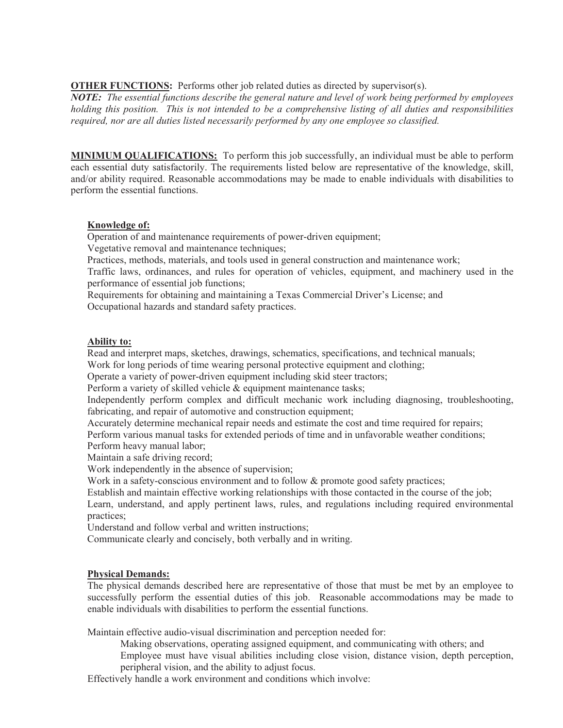**OTHER FUNCTIONS:** Performs other job related duties as directed by supervisor(s).

*NOTE: The essential functions describe the general nature and level of work being performed by employees holding this position. This is not intended to be a comprehensive listing of all duties and responsibilities required, nor are all duties listed necessarily performed by any one employee so classified.* 

**MINIMUM QUALIFICATIONS:** To perform this job successfully, an individual must be able to perform each essential duty satisfactorily. The requirements listed below are representative of the knowledge, skill, and/or ability required. Reasonable accommodations may be made to enable individuals with disabilities to perform the essential functions.

# **Knowledge of:**

Operation of and maintenance requirements of power-driven equipment;

Vegetative removal and maintenance techniques;

Practices, methods, materials, and tools used in general construction and maintenance work;

Traffic laws, ordinances, and rules for operation of vehicles, equipment, and machinery used in the performance of essential job functions;

Requirements for obtaining and maintaining a Texas Commercial Driver's License; and Occupational hazards and standard safety practices.

# **Ability to:**

Read and interpret maps, sketches, drawings, schematics, specifications, and technical manuals;

Work for long periods of time wearing personal protective equipment and clothing;

Operate a variety of power-driven equipment including skid steer tractors;

Perform a variety of skilled vehicle & equipment maintenance tasks;

Independently perform complex and difficult mechanic work including diagnosing, troubleshooting, fabricating, and repair of automotive and construction equipment;

Accurately determine mechanical repair needs and estimate the cost and time required for repairs;

 Perform various manual tasks for extended periods of time and in unfavorable weather conditions; Perform heavy manual labor;

Maintain a safe driving record;

Work independently in the absence of supervision;

Work in a safety-conscious environment and to follow & promote good safety practices;

Establish and maintain effective working relationships with those contacted in the course of the job;

 Learn, understand, and apply pertinent laws, rules, and regulations including required environmental practices;

Understand and follow verbal and written instructions;

Communicate clearly and concisely, both verbally and in writing.

# **Physical Demands:**

The physical demands described here are representative of those that must be met by an employee to successfully perform the essential duties of this job. Reasonable accommodations may be made to enable individuals with disabilities to perform the essential functions.

Maintain effective audio-visual discrimination and perception needed for:

Making observations, operating assigned equipment, and communicating with others; and

Employee must have visual abilities including close vision, distance vision, depth perception, peripheral vision, and the ability to adjust focus.

Effectively handle a work environment and conditions which involve: